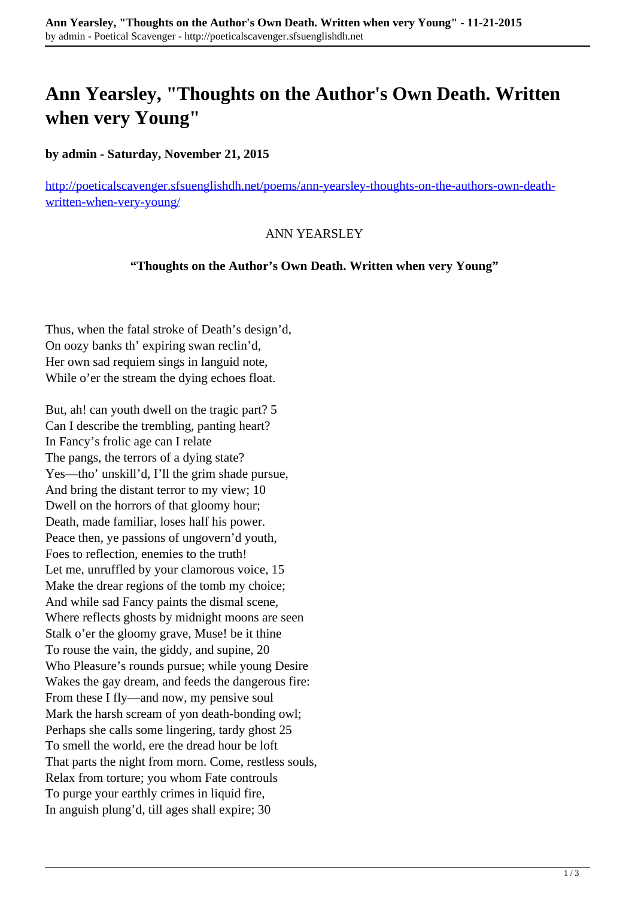# **Ann Yearsley, "Thoughts on the Author's Own Death. Written when very Young"**

### **by admin - Saturday, November 21, 2015**

[http://poeticalscavenger.sfsuenglishdh.net/poems/ann-yearsley-thoughts-on-the-authors-own-death](http://poeticalscavenger.sfsuenglishdh.net/poems/ann-yearsley-thoughts-on-the-authors-own-death-written-when-very-young/)[written-when-very-young/](http://poeticalscavenger.sfsuenglishdh.net/poems/ann-yearsley-thoughts-on-the-authors-own-death-written-when-very-young/)

#### ANN YEARSLEY

#### **"Thoughts on the Author's Own Death. Written when very Young"**

Thus, when the fatal stroke of Death's design'd, On oozy banks th' expiring swan reclin'd, Her own sad requiem sings in languid note, While o'er the stream the dying echoes float.

But, ah! can youth dwell on the tragic part? 5 Can I describe the trembling, panting heart? In Fancy's frolic age can I relate The pangs, the terrors of a dying state? Yes—tho' unskill'd, I'll the grim shade pursue, And bring the distant terror to my view; 10 Dwell on the horrors of that gloomy hour; Death, made familiar, loses half his power. Peace then, ye passions of ungovern'd youth, Foes to reflection, enemies to the truth! Let me, unruffled by your clamorous voice, 15 Make the drear regions of the tomb my choice; And while sad Fancy paints the dismal scene, Where reflects ghosts by midnight moons are seen Stalk o'er the gloomy grave, Muse! be it thine To rouse the vain, the giddy, and supine, 20 Who Pleasure's rounds pursue; while young Desire Wakes the gay dream, and feeds the dangerous fire: From these I fly—and now, my pensive soul Mark the harsh scream of yon death-bonding owl; Perhaps she calls some lingering, tardy ghost 25 To smell the world, ere the dread hour be loft That parts the night from morn. Come, restless souls, Relax from torture; you whom Fate controuls To purge your earthly crimes in liquid fire, In anguish plung'd, till ages shall expire; 30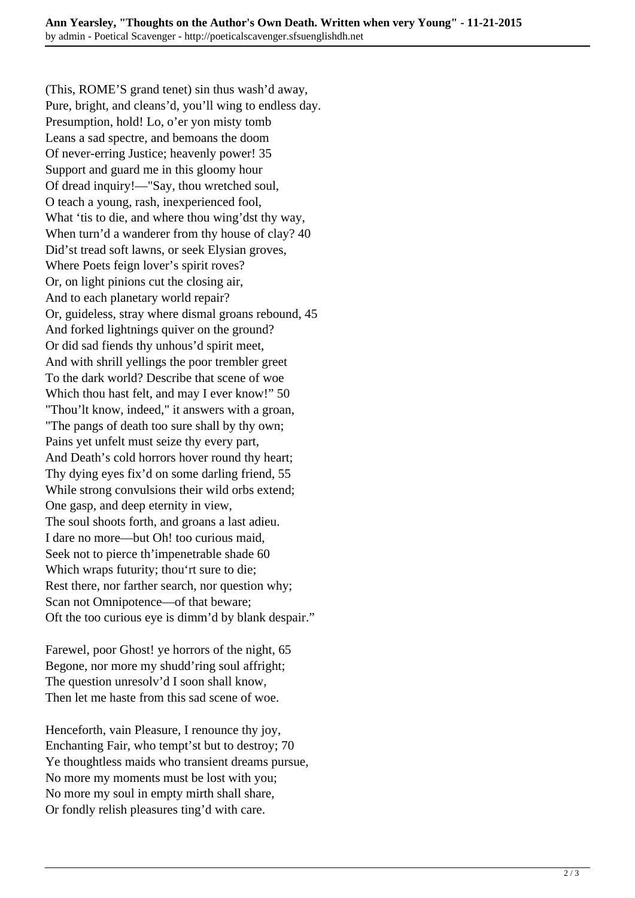(This, ROME'S grand tenet) sin thus wash'd away, Pure, bright, and cleans'd, you'll wing to endless day. Presumption, hold! Lo, o'er yon misty tomb Leans a sad spectre, and bemoans the doom Of never-erring Justice; heavenly power! 35 Support and guard me in this gloomy hour Of dread inquiry!—"Say, thou wretched soul, O teach a young, rash, inexperienced fool, What 'tis to die, and where thou wing'dst thy way, When turn'd a wanderer from thy house of clay? 40 Did'st tread soft lawns, or seek Elysian groves, Where Poets feign lover's spirit roves? Or, on light pinions cut the closing air, And to each planetary world repair? Or, guideless, stray where dismal groans rebound, 45 And forked lightnings quiver on the ground? Or did sad fiends thy unhous'd spirit meet, And with shrill yellings the poor trembler greet To the dark world? Describe that scene of woe Which thou hast felt, and may I ever know!" 50 "Thou'lt know, indeed," it answers with a groan, "The pangs of death too sure shall by thy own; Pains yet unfelt must seize thy every part, And Death's cold horrors hover round thy heart; Thy dying eyes fix'd on some darling friend, 55 While strong convulsions their wild orbs extend; One gasp, and deep eternity in view, The soul shoots forth, and groans a last adieu. I dare no more—but Oh! too curious maid, Seek not to pierce th'impenetrable shade 60 Which wraps futurity; thou'rt sure to die; Rest there, nor farther search, nor question why; Scan not Omnipotence—of that beware; Oft the too curious eye is dimm'd by blank despair."

Farewel, poor Ghost! ye horrors of the night, 65 Begone, nor more my shudd'ring soul affright; The question unresolv'd I soon shall know, Then let me haste from this sad scene of woe.

Henceforth, vain Pleasure, I renounce thy joy, Enchanting Fair, who tempt'st but to destroy; 70 Ye thoughtless maids who transient dreams pursue, No more my moments must be lost with you; No more my soul in empty mirth shall share, Or fondly relish pleasures ting'd with care.